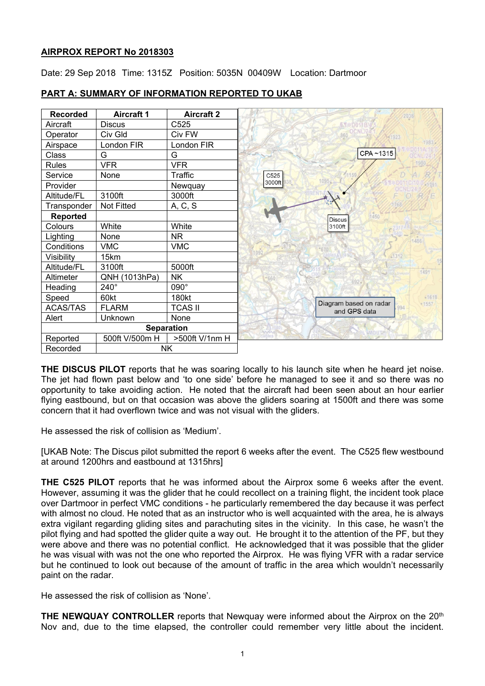## **AIRPROX REPORT No 2018303**

Date: 29 Sep 2018 Time: 1315Z Position: 5035N 00409W Location: Dartmoor



# **PART A: SUMMARY OF INFORMATION REPORTED TO UKAB**

**THE DISCUS PILOT** reports that he was soaring locally to his launch site when he heard jet noise. The jet had flown past below and 'to one side' before he managed to see it and so there was no opportunity to take avoiding action. He noted that the aircraft had been seen about an hour earlier flying eastbound, but on that occasion was above the gliders soaring at 1500ft and there was some concern that it had overflown twice and was not visual with the gliders.

He assessed the risk of collision as 'Medium'.

[UKAB Note: The Discus pilot submitted the report 6 weeks after the event. The C525 flew westbound at around 1200hrs and eastbound at 1315hrs]

**THE C525 PILOT** reports that he was informed about the Airprox some 6 weeks after the event. However, assuming it was the glider that he could recollect on a training flight, the incident took place over Dartmoor in perfect VMC conditions - he particularly remembered the day because it was perfect with almost no cloud. He noted that as an instructor who is well acquainted with the area, he is always extra vigilant regarding gliding sites and parachuting sites in the vicinity. In this case, he wasn't the pilot flying and had spotted the glider quite a way out. He brought it to the attention of the PF, but they were above and there was no potential conflict. He acknowledged that it was possible that the glider he was visual with was not the one who reported the Airprox. He was flying VFR with a radar service but he continued to look out because of the amount of traffic in the area which wouldn't necessarily paint on the radar.

He assessed the risk of collision as 'None'.

**THE NEWQUAY CONTROLLER** reports that Newquay were informed about the Airprox on the 20<sup>th</sup> Nov and, due to the time elapsed, the controller could remember very little about the incident.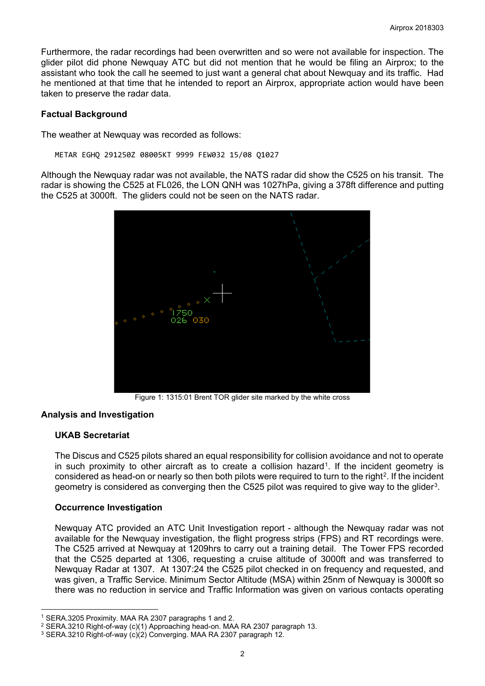Furthermore, the radar recordings had been overwritten and so were not available for inspection. The glider pilot did phone Newquay ATC but did not mention that he would be filing an Airprox; to the assistant who took the call he seemed to just want a general chat about Newquay and its traffic. Had he mentioned at that time that he intended to report an Airprox, appropriate action would have been taken to preserve the radar data.

#### **Factual Background**

The weather at Newquay was recorded as follows:

METAR EGHQ 291250Z 08005KT 9999 FEW032 15/08 Q1027

Although the Newquay radar was not available, the NATS radar did show the C525 on his transit. The radar is showing the C525 at FL026, the LON QNH was 1027hPa, giving a 378ft difference and putting the C525 at 3000ft. The gliders could not be seen on the NATS radar.



Figure 1: 1315:01 Brent TOR glider site marked by the white cross

## **Analysis and Investigation**

## **UKAB Secretariat**

 $\overline{a}$ 

The Discus and C525 pilots shared an equal responsibility for collision avoidance and not to operate in such proximity to other aircraft as to create a collision hazard<sup>1</sup>. If the incident geometry is considered as head-on or nearly so then both pilots were required to turn to the right<sup>2</sup>. If the incident geometry is considered as converging then the C525 pilot was required to give way to the glider[3](#page-1-2).

## **Occurrence Investigation**

Newquay ATC provided an ATC Unit Investigation report - although the Newquay radar was not available for the Newquay investigation, the flight progress strips (FPS) and RT recordings were. The C525 arrived at Newquay at 1209hrs to carry out a training detail. The Tower FPS recorded that the C525 departed at 1306, requesting a cruise altitude of 3000ft and was transferred to Newquay Radar at 1307. At 1307:24 the C525 pilot checked in on frequency and requested, and was given, a Traffic Service. Minimum Sector Altitude (MSA) within 25nm of Newquay is 3000ft so there was no reduction in service and Traffic Information was given on various contacts operating

<span id="page-1-0"></span><sup>1</sup> SERA.3205 Proximity. MAA RA 2307 paragraphs 1 and 2.

<span id="page-1-1"></span><sup>2</sup> SERA.3210 Right-of-way (c)(1) Approaching head-on. MAA RA 2307 paragraph 13.

<span id="page-1-2"></span><sup>3</sup> SERA.3210 Right-of-way (c)(2) Converging. MAA RA 2307 paragraph 12.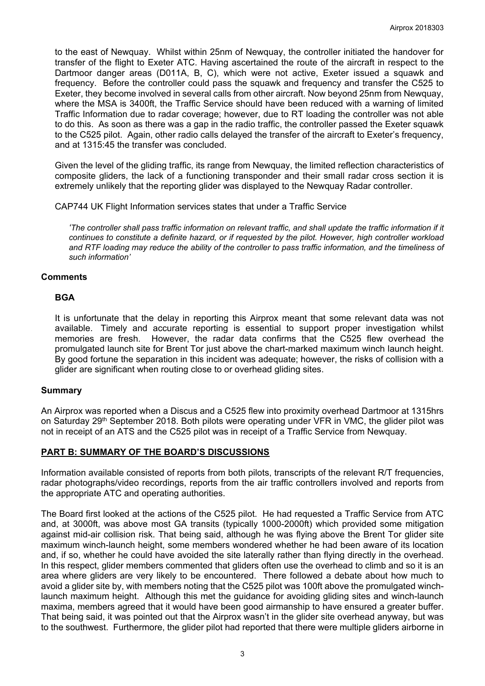to the east of Newquay. Whilst within 25nm of Newquay, the controller initiated the handover for transfer of the flight to Exeter ATC. Having ascertained the route of the aircraft in respect to the Dartmoor danger areas (D011A, B, C), which were not active, Exeter issued a squawk and frequency. Before the controller could pass the squawk and frequency and transfer the C525 to Exeter, they become involved in several calls from other aircraft. Now beyond 25nm from Newquay, where the MSA is 3400ft, the Traffic Service should have been reduced with a warning of limited Traffic Information due to radar coverage; however, due to RT loading the controller was not able to do this. As soon as there was a gap in the radio traffic, the controller passed the Exeter squawk to the C525 pilot. Again, other radio calls delayed the transfer of the aircraft to Exeter's frequency, and at 1315:45 the transfer was concluded.

Given the level of the gliding traffic, its range from Newquay, the limited reflection characteristics of composite gliders, the lack of a functioning transponder and their small radar cross section it is extremely unlikely that the reporting glider was displayed to the Newquay Radar controller.

CAP744 UK Flight Information services states that under a Traffic Service

*'The controller shall pass traffic information on relevant traffic, and shall update the traffic information if it continues to constitute a definite hazard, or if requested by the pilot. However, high controller workload and RTF loading may reduce the ability of the controller to pass traffic information, and the timeliness of such information'*

#### **Comments**

#### **BGA**

It is unfortunate that the delay in reporting this Airprox meant that some relevant data was not available. Timely and accurate reporting is essential to support proper investigation whilst memories are fresh. However, the radar data confirms that the C525 flew overhead the promulgated launch site for Brent Tor just above the chart-marked maximum winch launch height. By good fortune the separation in this incident was adequate; however, the risks of collision with a glider are significant when routing close to or overhead gliding sites.

#### **Summary**

An Airprox was reported when a Discus and a C525 flew into proximity overhead Dartmoor at 1315hrs on Saturday 29<sup>th</sup> September 2018. Both pilots were operating under VFR in VMC, the glider pilot was not in receipt of an ATS and the C525 pilot was in receipt of a Traffic Service from Newquay.

#### **PART B: SUMMARY OF THE BOARD'S DISCUSSIONS**

Information available consisted of reports from both pilots, transcripts of the relevant R/T frequencies, radar photographs/video recordings, reports from the air traffic controllers involved and reports from the appropriate ATC and operating authorities.

The Board first looked at the actions of the C525 pilot. He had requested a Traffic Service from ATC and, at 3000ft, was above most GA transits (typically 1000-2000ft) which provided some mitigation against mid-air collision risk. That being said, although he was flying above the Brent Tor glider site maximum winch-launch height, some members wondered whether he had been aware of its location and, if so, whether he could have avoided the site laterally rather than flying directly in the overhead. In this respect, glider members commented that gliders often use the overhead to climb and so it is an area where gliders are very likely to be encountered. There followed a debate about how much to avoid a glider site by, with members noting that the C525 pilot was 100ft above the promulgated winchlaunch maximum height. Although this met the guidance for avoiding gliding sites and winch-launch maxima, members agreed that it would have been good airmanship to have ensured a greater buffer. That being said, it was pointed out that the Airprox wasn't in the glider site overhead anyway, but was to the southwest. Furthermore, the glider pilot had reported that there were multiple gliders airborne in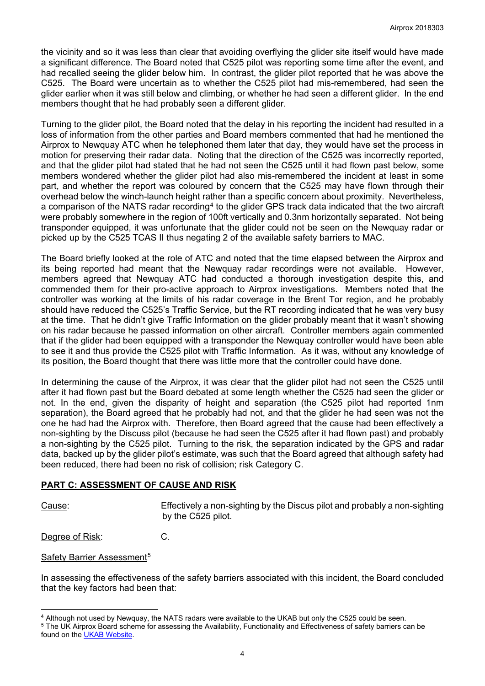the vicinity and so it was less than clear that avoiding overflying the glider site itself would have made a significant difference. The Board noted that C525 pilot was reporting some time after the event, and had recalled seeing the glider below him. In contrast, the glider pilot reported that he was above the C525. The Board were uncertain as to whether the C525 pilot had mis-remembered, had seen the glider earlier when it was still below and climbing, or whether he had seen a different glider. In the end members thought that he had probably seen a different glider.

Turning to the glider pilot, the Board noted that the delay in his reporting the incident had resulted in a loss of information from the other parties and Board members commented that had he mentioned the Airprox to Newquay ATC when he telephoned them later that day, they would have set the process in motion for preserving their radar data. Noting that the direction of the C525 was incorrectly reported, and that the glider pilot had stated that he had not seen the C525 until it had flown past below, some members wondered whether the glider pilot had also mis-remembered the incident at least in some part, and whether the report was coloured by concern that the C525 may have flown through their overhead below the winch-launch height rather than a specific concern about proximity. Nevertheless, a comparison of the NATS radar recording<sup>[4](#page-3-0)</sup> to the glider GPS track data indicated that the two aircraft were probably somewhere in the region of 100ft vertically and 0.3nm horizontally separated. Not being transponder equipped, it was unfortunate that the glider could not be seen on the Newquay radar or picked up by the C525 TCAS II thus negating 2 of the available safety barriers to MAC.

The Board briefly looked at the role of ATC and noted that the time elapsed between the Airprox and its being reported had meant that the Newquay radar recordings were not available. However, members agreed that Newquay ATC had conducted a thorough investigation despite this, and commended them for their pro-active approach to Airprox investigations. Members noted that the controller was working at the limits of his radar coverage in the Brent Tor region, and he probably should have reduced the C525's Traffic Service, but the RT recording indicated that he was very busy at the time. That he didn't give Traffic Information on the glider probably meant that it wasn't showing on his radar because he passed information on other aircraft. Controller members again commented that if the glider had been equipped with a transponder the Newquay controller would have been able to see it and thus provide the C525 pilot with Traffic Information. As it was, without any knowledge of its position, the Board thought that there was little more that the controller could have done.

In determining the cause of the Airprox, it was clear that the glider pilot had not seen the C525 until after it had flown past but the Board debated at some length whether the C525 had seen the glider or not. In the end, given the disparity of height and separation (the C525 pilot had reported 1nm separation), the Board agreed that he probably had not, and that the glider he had seen was not the one he had had the Airprox with. Therefore, then Board agreed that the cause had been effectively a non-sighting by the Discuss pilot (because he had seen the C525 after it had flown past) and probably a non-sighting by the C525 pilot. Turning to the risk, the separation indicated by the GPS and radar data, backed up by the glider pilot's estimate, was such that the Board agreed that although safety had been reduced, there had been no risk of collision; risk Category C.

#### **PART C: ASSESSMENT OF CAUSE AND RISK**

 $\overline{a}$ 

Cause: Effectively a non-sighting by the Discus pilot and probably a non-sighting by the C525 pilot.

Degree of Risk: C.

Safety Barrier Assessment<sup>[5](#page-3-1)</sup>

In assessing the effectiveness of the safety barriers associated with this incident, the Board concluded that the key factors had been that:

<span id="page-3-0"></span><sup>4</sup> Although not used by Newquay, the NATS radars were available to the UKAB but only the C525 could be seen.

<span id="page-3-1"></span><sup>5</sup> The UK Airprox Board scheme for assessing the Availability, Functionality and Effectiveness of safety barriers can be found on the [UKAB Website.](http://www.airproxboard.org.uk/Learn-more/Airprox-Barrier-Assessment/)